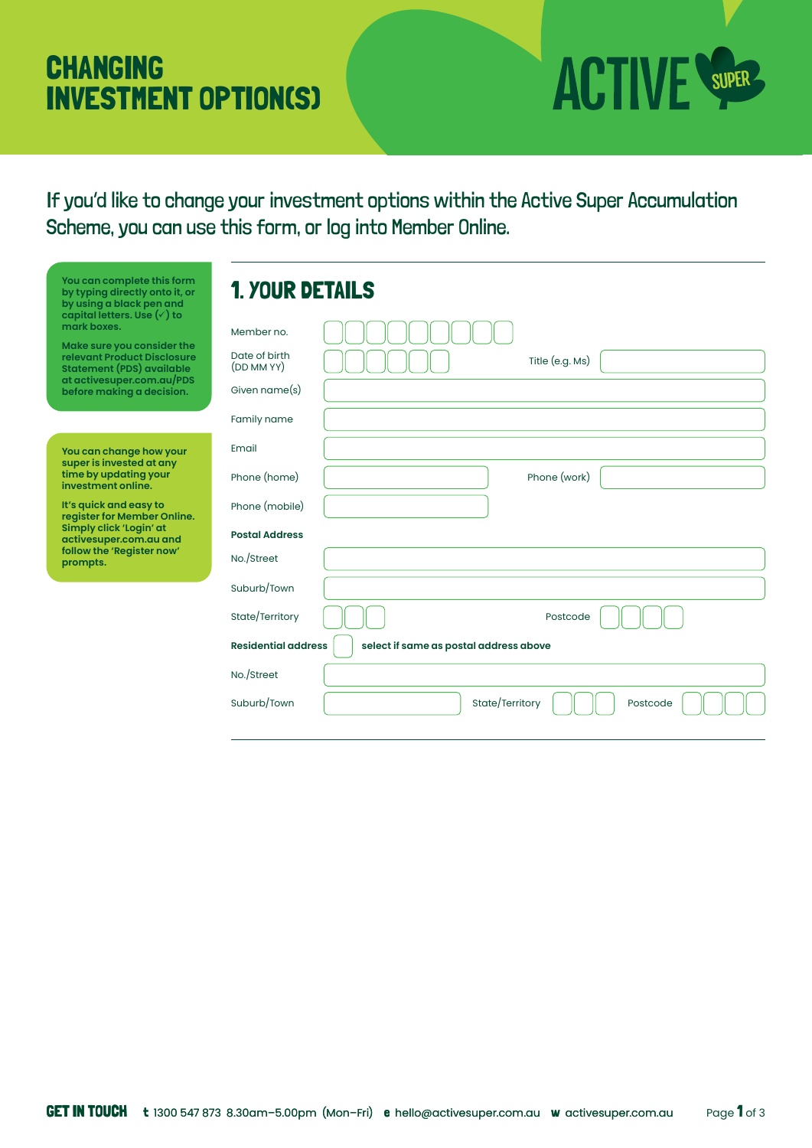# **CHANGING INVESTMENT OPTION(S)**



If you'd like to change your investment options within the Active Super Accumulation Scheme, you can use this form, or log into Member Online.

| You can complete this form<br>by typing directly onto it, or<br>by using a black pen and                                                                                                                                | <b>1. YOUR DETAILS</b>      |                             |
|-------------------------------------------------------------------------------------------------------------------------------------------------------------------------------------------------------------------------|-----------------------------|-----------------------------|
| capital letters. Use $(\check{ } )$ to<br>mark boxes.<br>Make sure you consider the<br><b>relevant Product Disclosure</b><br><b>Statement (PDS) available</b><br>at activesuper.com.au/PDS<br>before making a decision. | Member no.                  |                             |
|                                                                                                                                                                                                                         | Date of birth<br>(DD MM YY) | Title (e.g. Ms)             |
|                                                                                                                                                                                                                         | Given name(s)               |                             |
|                                                                                                                                                                                                                         | Family name                 |                             |
| You can change how your<br>super is invested at any<br>time by updating your<br>investment online.                                                                                                                      | Email                       |                             |
|                                                                                                                                                                                                                         | Phone (home)                | Phone (work)                |
| It's quick and easy to<br>register for Member Online.<br>Simply click 'Login' at<br>activesuper.com.au and<br>follow the 'Register now'<br>prompts.                                                                     | Phone (mobile)              |                             |
|                                                                                                                                                                                                                         | <b>Postal Address</b>       |                             |
|                                                                                                                                                                                                                         | No./Street                  |                             |
|                                                                                                                                                                                                                         | Suburb/Town                 |                             |
|                                                                                                                                                                                                                         | State/Territory             | Postcode                    |
| <b>Residential address</b><br>select if same as postal address above                                                                                                                                                    |                             |                             |
|                                                                                                                                                                                                                         | No./Street                  |                             |
|                                                                                                                                                                                                                         | Suburb/Town                 | State/Territory<br>Postcode |
|                                                                                                                                                                                                                         |                             |                             |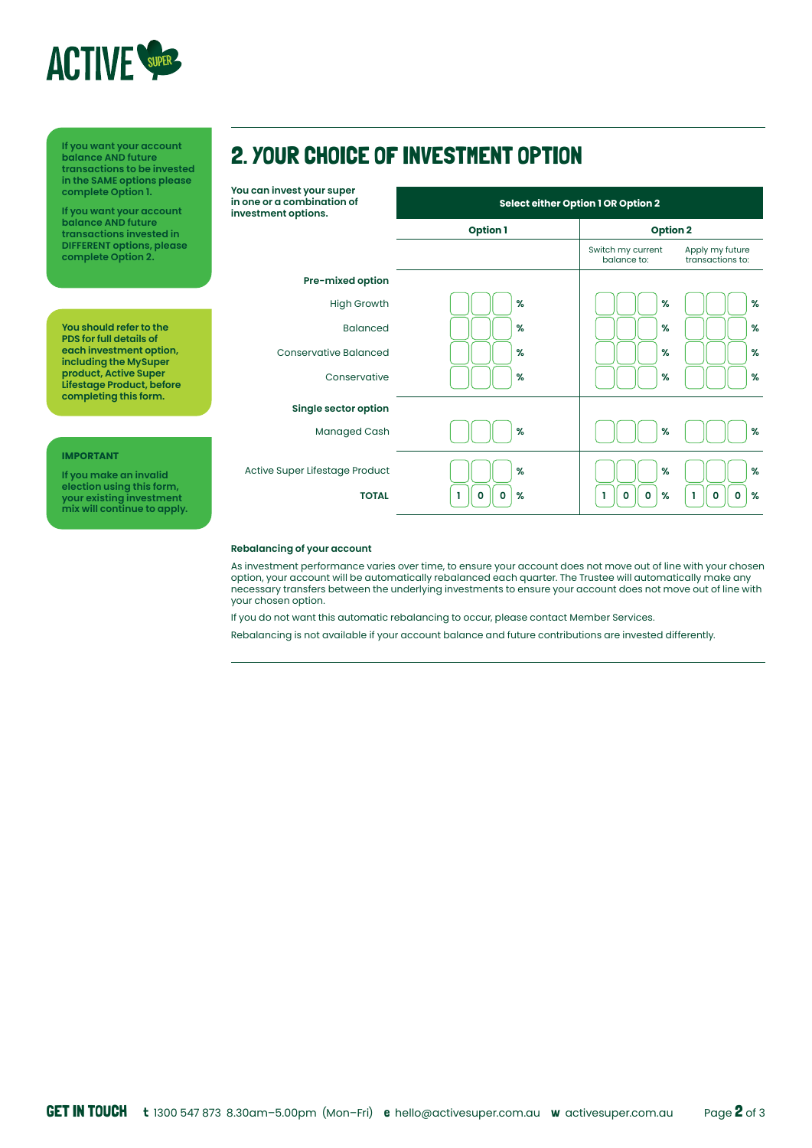

**Select either Option 1 OR Option 2 Option 1 Option 2** Switch my current balance to: Apply my future transactions to: **If you want your account balance AND future transactions to be invested in the SAME options please complete Option 1. If you want your account balance AND future transactions invested in DIFFERENT options, please complete Option 2. IMPORTANT If you make an invalid election using this form, your existing investment mix will continue to apply. Single sector option Pre-mixed option You can invest your super in one or a combination of investment options.** High Growth Balanced Conservative Balanced Managed Cash Active Super Lifestage Product Conservative **TOTAL % % % % % % % % % % % % % % % % % % % % % 1 0 0 1 0 0 1 0 0 You should refer to the PDS for full details of each investment option, including the MySuper product, Active Super Lifestage Product, before completing this form.** 2. YOUR CHOICE OF INVESTMENT OPTION

### **Rebalancing of your account**

As investment performance varies over time, to ensure your account does not move out of line with your chosen option, your account will be automatically rebalanced each quarter. The Trustee will automatically make any necessary transfers between the underlying investments to ensure your account does not move out of line with your chosen option.

If you do not want this automatic rebalancing to occur, please contact Member Services.

Rebalancing is not available if your account balance and future contributions are invested differently.